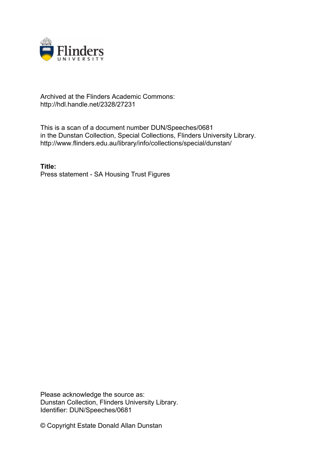

## Archived at the Flinders Academic Commons: http://hdl.handle.net/2328/27231

This is a scan of a document number DUN/Speeches/0681 in the Dunstan Collection, Special Collections, Flinders University Library. http://www.flinders.edu.au/library/info/collections/special/dunstan/

**Title:** Press statement - SA Housing Trust Figures

Please acknowledge the source as: Dunstan Collection, Flinders University Library. Identifier: DUN/Speeches/0681

© Copyright Estate Donald Allan Dunstan